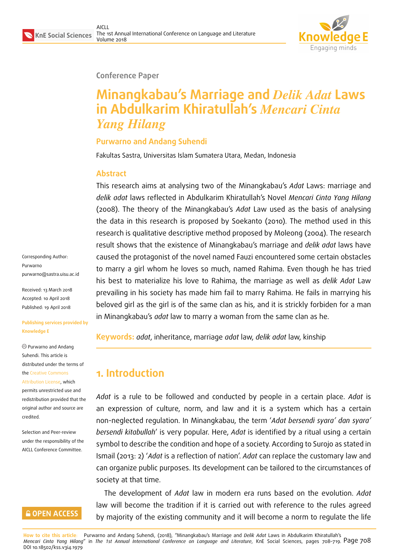

#### **Conference Paper**

# **Minangkabau's Marriage and** *Delik Adat* **Laws in Abdulkarim Khiratullah's** *Mencari Cinta Yang Hilang*

#### **Purwarno and Andang Suhendi**

Fakultas Sastra, Universitas Islam Sumatera Utara, Medan, Indonesia

#### **Abstract**

This research aims at analysing two of the Minangkabau's *Adat* Laws: marriage and *delik adat* laws reflected in Abdulkarim Khiratullah's Novel *Mencari Cinta Yang Hilang* (2008). The theory of the Minangkabau's *Adat* Law used as the basis of analysing the data in this research is proposed by Soekanto (2010). The method used in this research is qualitative descriptive method proposed by Moleong (2004). The research result shows that the existence of Minangkabau's marriage and *delik adat* laws have caused the protagonist of the novel named Fauzi encountered some certain obstacles to marry a girl whom he loves so much, named Rahima. Even though he has tried his best to materialize his love to Rahima, the marriage as well as *delik Adat* Law prevailing in his society has made him fail to marry Rahima. He fails in marrying his beloved girl as the girl is of the same clan as his, and it is strickly forbiden for a man in Minangkabau's *adat* law to marry a woman from the same clan as he.

**Keywords:** *adat*, inheritance, marriage *adat* law, *delik adat* law, kinship

# **1. Introduction**

*Adat* is a rule to be followed and conducted by people in a certain place. *Adat* is an expression of culture, norm, and law and it is a system which has a certain non-neglected regulation. In Minangkabau, the term '*Adat bersendi syara' dan syara' bersendi kitabullah*' is very popular. Here, *Adat* is identified by a ritual using a certain symbol to describe the condition and hope of a society. According to Surojo as stated in Ismail (2013: 2) '*Adat* is a reflection of nation'. *Adat* can replace the customary law and can organize public purposes. Its development can be tailored to the circumstances of society at that time.

The development of *Adat* law in modern era runs based on the evolution. *Adat* law will become the tradition if it is carried out with reference to the rules agreed by majority of the existing community and it will become a norm to regulate the life

**How to cite this article**: Purwarno and Andang Suhendi, (2018), "Minangkabau's Marriage and *Delik Adat* Laws in Abdulkarim Khiratullah's *Mencari Cinta Yang Hilang*" in *The 1st Annual International Conference on Language and Literature*, KnE Social Sciences, pages 708–719. Page 708 DOI 10.18502/kss.v3i4.1979

Corresponding Author: Purwarno purwarno@sastra.uisu.ac.id

Received: 13 March 2018 Accepted: 10 April 2018 [Published: 19 April 2018](mailto:purwarno@sastra.uisu.ac.id)

#### **Publishing services provided by Knowledge E**

Purwarno and Andang Suhendi. This article is distributed under the terms of the Creative Commons Attribution License, which

permits unrestricted use and redistribution provided that the ori[ginal author and sou](https://creativecommons.org/licenses/by/4.0/)rce are [credited.](https://creativecommons.org/licenses/by/4.0/)

Selection and Peer-review under the responsibility of the AICLL Conference Committee.

#### **GOPEN ACCESS**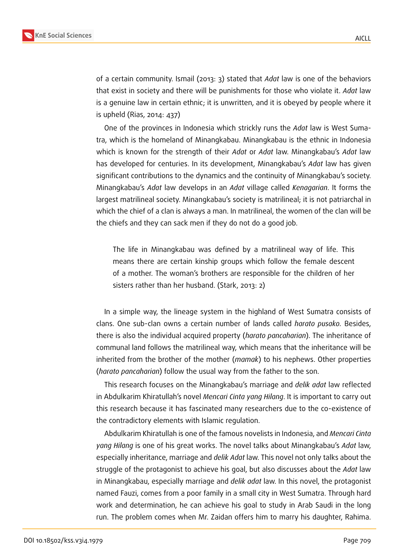

of a certain community. Ismail (2013: 3) stated that *Adat* law is one of the behaviors that exist in society and there will be punishments for those who violate it. *Adat* law is a genuine law in certain ethnic; it is unwritten, and it is obeyed by people where it is upheld (Rias, 2014: 437)

One of the provinces in Indonesia which strickly runs the *Adat* law is West Sumatra, which is the homeland of Minangkabau. Minangkabau is the ethnic in Indonesia which is known for the strength of their *Adat* or *Adat* law. Minangkabau's *Adat* law has developed for centuries. In its development, Minangkabau's *Adat* law has given significant contributions to the dynamics and the continuity of Minangkabau's society. Minangkabau's *Adat* law develops in an *Adat* village called *Kenagarian*. It forms the largest matrilineal society. Minangkabau's society is matrilineal; it is not patriarchal in which the chief of a clan is always a man. In matrilineal, the women of the clan will be the chiefs and they can sack men if they do not do a good job.

The life in Minangkabau was defined by a matrilineal way of life. This means there are certain kinship groups which follow the female descent of a mother. The woman's brothers are responsible for the children of her sisters rather than her husband. (Stark, 2013: 2)

In a simple way, the lineage system in the highland of West Sumatra consists of clans. One sub-clan owns a certain number of lands called *harato pusako.* Besides, there is also the individual acquired property (*harato pancaharian*). The inheritance of communal land follows the matrilineal way, which means that the inheritance will be inherited from the brother of the mother (*mamak*) to his nephews. Other properties (*harato pancaharian*) follow the usual way from the father to the son.

This research focuses on the Minangkabau's marriage and *delik adat* law reflected in Abdulkarim Khiratullah's novel *Mencari Cinta yang Hilang*. It is important to carry out this research because it has fascinated many researchers due to the co-existence of the contradictory elements with Islamic regulation.

Abdulkarim Khiratullah is one of the famous novelists in Indonesia, and *Mencari Cinta yang Hilang* is one of his great works. The novel talks about Minangkabau's *Adat* law, especially inheritance, marriage and *delik Adat* law. This novel not only talks about the struggle of the protagonist to achieve his goal, but also discusses about the *Adat* law in Minangkabau, especially marriage and *delik adat* law. In this novel, the protagonist named Fauzi, comes from a poor family in a small city in West Sumatra. Through hard work and determination, he can achieve his goal to study in Arab Saudi in the long run. The problem comes when Mr. Zaidan offers him to marry his daughter, Rahima.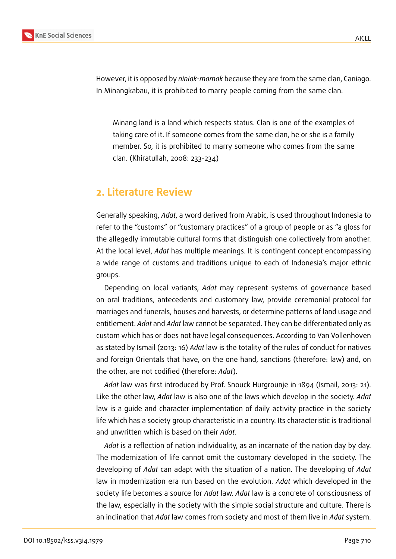

However, it is opposed by *niniak-mamak* because they are from the same clan, Caniago. In Minangkabau, it is prohibited to marry people coming from the same clan.

Minang land is a land which respects status. Clan is one of the examples of taking care of it. If someone comes from the same clan, he or she is a family member. So, it is prohibited to marry someone who comes from the same clan. (Khiratullah, 2008: 233-234)

### **2. Literature Review**

Generally speaking, *Adat*, a word derived from Arabic, is used throughout Indonesia to refer to the "customs" or "customary practices" of a group of people or as "a gloss for the allegedly immutable cultural forms that distinguish one collectively from another. At the local level, *Adat* has multiple meanings. It is contingent concept encompassing a wide range of customs and traditions unique to each of Indonesia's major ethnic groups.

Depending on local variants, *Adat* may represent systems of governance based on oral traditions, antecedents and customary law, provide ceremonial protocol for marriages and funerals, houses and harvests, or determine patterns of land usage and entitlement. *Adat* and *Adat* law cannot be separated. They can be differentiated only as custom which has or does not have legal consequences. According to Van Vollenhoven as stated by Ismail (2013: 16) *Adat* law is the totality of the rules of conduct for natives and foreign Orientals that have, on the one hand, sanctions (therefore: law) and, on the other, are not codified (therefore: *Adat*).

*Adat* law was first introduced by Prof. Snouck Hurgrounje in 1894 (Ismail, 2013: 21). Like the other law, *Adat* law is also one of the laws which develop in the society. *Adat* law is a guide and character implementation of daily activity practice in the society life which has a society group characteristic in a country. Its characteristic is traditional and unwritten which is based on their *Adat*.

*Adat* is a reflection of nation individuality, as an incarnate of the nation day by day. The modernization of life cannot omit the customary developed in the society. The developing of *Adat* can adapt with the situation of a nation. The developing of *Adat* law in modernization era run based on the evolution. *Adat* which developed in the society life becomes a source for *Adat* law. *Adat* law is a concrete of consciousness of the law, especially in the society with the simple social structure and culture. There is an inclination that *Adat* law comes from society and most of them live in *Adat* system.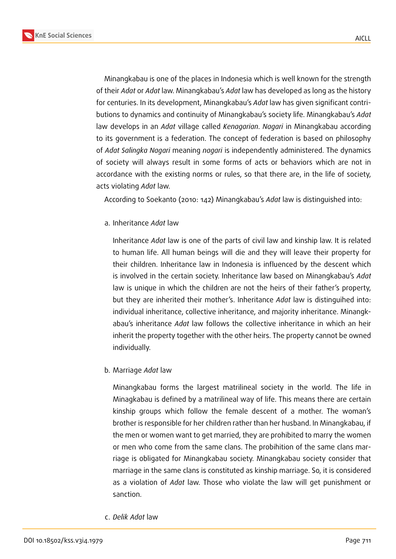**KnE Social Sciences**



Minangkabau is one of the places in Indonesia which is well known for the strength of their *Adat* or *Adat* law. Minangkabau's *Adat* law has developed as long as the history for centuries. In its development, Minangkabau's *Adat* law has given significant contributions to dynamics and continuity of Minangkabau's society life. Minangkabau's *Adat* law develops in an *Adat* village called *Kenagarian*. *Nagari* in Minangkabau according to its government is a federation. The concept of federation is based on philosophy of *Adat Salingka Nagari* meaning *nagari* is independently administered. The dynamics of society will always result in some forms of acts or behaviors which are not in accordance with the existing norms or rules, so that there are, in the life of society, acts violating *Adat* law.

According to Soekanto (2010: 142) Minangkabau's *Adat* law is distinguished into:

a. Inheritance *Adat* law

Inheritance *Adat* law is one of the parts of civil law and kinship law. It is related to human life. All human beings will die and they will leave their property for their children. Inheritance law in Indonesia is influenced by the descent which is involved in the certain society. Inheritance law based on Minangkabau's *Adat* law is unique in which the children are not the heirs of their father's property, but they are inherited their mother's. Inheritance *Adat* law is distinguihed into: individual inheritance, collective inheritance, and majority inheritance. Minangkabau's inheritance *Adat* law follows the collective inheritance in which an heir inherit the property together with the other heirs. The property cannot be owned individually.

b. Marriage *Adat* law

Minangkabau forms the largest matrilineal society in the world. The life in Minagkabau is defined by a matrilineal way of life. This means there are certain kinship groups which follow the female descent of a mother. The woman's brother is responsible for her children rather than her husband. In Minangkabau, if the men or women want to get married, they are prohibited to marry the women or men who come from the same clans. The probihition of the same clans marriage is obligated for Minangkabau society. Minangkabau society consider that marriage in the same clans is constituted as kinship marriage. So, it is considered as a violation of *Adat* law. Those who violate the law will get punishment or sanction.

c. *Delik Adat* law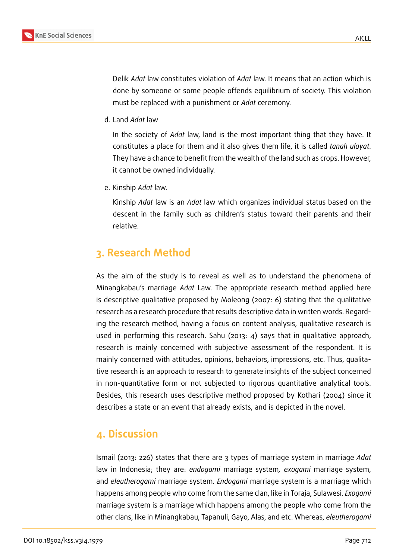

Delik *Adat* law constitutes violation of *Adat* law. It means that an action which is done by someone or some people offends equilibrium of society. This violation must be replaced with a punishment or *Adat* ceremony.

d. Land *Adat* law

In the society of *Adat* law, land is the most important thing that they have. It constitutes a place for them and it also gives them life, it is called *tanah ulayat*. They have a chance to benefit from the wealth of the land such as crops. However, it cannot be owned individually.

e. Kinship *Adat* law.

Kinship *Adat* law is an *Adat* law which organizes individual status based on the descent in the family such as children's status toward their parents and their relative.

# **3. Research Method**

As the aim of the study is to reveal as well as to understand the phenomena of Minangkabau's marriage *Adat* Law. The appropriate research method applied here is descriptive qualitative proposed by Moleong (2007: 6) stating that the qualitative research as a research procedure that results descriptive data in written words. Regarding the research method, having a focus on content analysis, qualitative research is used in performing this research. Sahu (2013: 4) says that in qualitative approach, research is mainly concerned with subjective assessment of the respondent. It is mainly concerned with attitudes, opinions, behaviors, impressions, etc. Thus, qualitative research is an approach to research to generate insights of the subject concerned in non-quantitative form or not subjected to rigorous quantitative analytical tools. Besides, this research uses descriptive method proposed by Kothari (2004) since it describes a state or an event that already exists, and is depicted in the novel.

## **4. Discussion**

Ismail (2013: 226) states that there are 3 types of marriage system in marriage *Adat* law in Indonesia; they are: *endogami* marriage system*, exogami* marriage system, and *eleutherogami* marriage system. *Endogami* marriage system is a marriage which happens among people who come from the same clan, like in Toraja, Sulawesi. *Exogami* marriage system is a marriage which happens among the people who come from the other clans, like in Minangkabau, Tapanuli, Gayo, Alas, and etc. Whereas, *eleutherogami*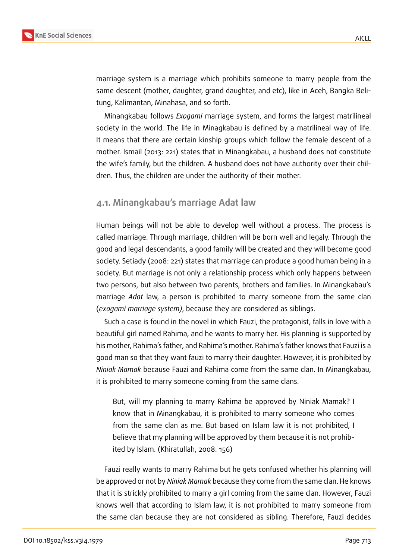

marriage system is a marriage which prohibits someone to marry people from the same descent (mother, daughter, grand daughter, and etc), like in Aceh, Bangka Belitung, Kalimantan, Minahasa, and so forth.

Minangkabau follows *Exogami* marriage system, and forms the largest matrilineal society in the world. The life in Minagkabau is defined by a matrilineal way of life. It means that there are certain kinship groups which follow the female descent of a mother. Ismail (2013: 221) states that in Minangkabau, a husband does not constitute the wife's family, but the children. A husband does not have authority over their children. Thus, the children are under the authority of their mother.

#### **4.1. Minangkabau's marriage Adat law**

Human beings will not be able to develop well without a process. The process is called marriage. Through marriage, children will be born well and legaly. Through the good and legal descendants, a good family will be created and they will become good society. Setiady (2008: 221) states that marriage can produce a good human being in a society. But marriage is not only a relationship process which only happens between two persons, but also between two parents, brothers and families. In Minangkabau's marriage *Adat* law, a person is prohibited to marry someone from the same clan (*exogami marriage system)*, because they are considered as siblings.

Such a case is found in the novel in which Fauzi, the protagonist, falls in love with a beautiful girl named Rahima, and he wants to marry her. His planning is supported by his mother, Rahima's father, and Rahima's mother. Rahima's father knows that Fauzi is a good man so that they want fauzi to marry their daughter. However, it is prohibited by *Niniak Mamak* because Fauzi and Rahima come from the same clan. In Minangkabau, it is prohibited to marry someone coming from the same clans.

But, will my planning to marry Rahima be approved by Niniak Mamak? I know that in Minangkabau, it is prohibited to marry someone who comes from the same clan as me. But based on Islam law it is not prohibited, I believe that my planning will be approved by them because it is not prohibited by Islam. (Khiratullah, 2008: 156)

Fauzi really wants to marry Rahima but he gets confused whether his planning will be approved or not by *Niniak Mamak* because they come from the same clan. He knows that it is strickly prohibited to marry a girl coming from the same clan. However, Fauzi knows well that according to Islam law, it is not prohibited to marry someone from the same clan because they are not considered as sibling. Therefore, Fauzi decides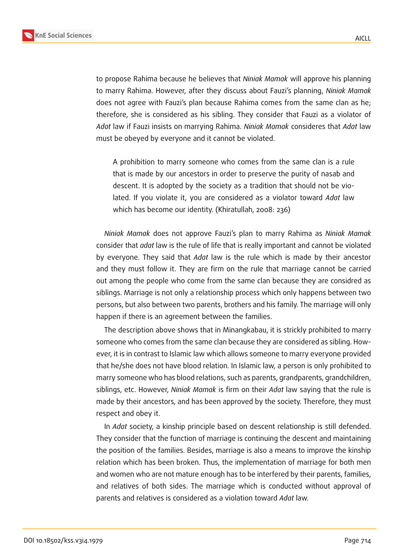

to propose Rahima because he believes that *Niniak Mamak* will approve his planning to marry Rahima. However, after they discuss about Fauzi's planning, *Niniak Mamak* does not agree with Fauzi's plan because Rahima comes from the same clan as he; therefore, she is considered as his sibling. They consider that Fauzi as a violator of *Adat* law if Fauzi insists on marrying Rahima. *Niniak Mamak* consideres that *Adat* law must be obeyed by everyone and it cannot be violated.

A prohibition to marry someone who comes from the same clan is a rule that is made by our ancestors in order to preserve the purity of nasab and descent. It is adopted by the society as a tradition that should not be violated. If you violate it, you are considered as a violator toward *Adat* law which has become our identity. (Khiratullah, 2008: 236)

*Niniak Mamak* does not approve Fauzi's plan to marry Rahima as *Niniak Mamak* consider that *adat* law is the rule of life that is really important and cannot be violated by everyone. They said that *Adat* law is the rule which is made by their ancestor and they must follow it. They are firm on the rule that marriage cannot be carried out among the people who come from the same clan because they are considred as siblings. Marriage is not only a relationship process which only happens between two persons, but also between two parents, brothers and his family. The marriage will only happen if there is an agreement between the families.

The description above shows that in Minangkabau, it is strickly prohibited to marry someone who comes from the same clan because they are considered as sibling. However, it is in contrast to Islamic law which allows someone to marry everyone provided that he/she does not have blood relation. In Islamic law, a person is only prohibited to marry someone who has blood relations, such as parents, grandparents, grandchildren, siblings, etc. However, *Niniak Mamak* is firm on their *Adat* law saying that the rule is made by their ancestors, and has been approved by the society. Therefore, they must respect and obey it.

In *Adat* society, a kinship principle based on descent relationship is still defended. They consider that the function of marriage is continuing the descent and maintaining the position of the families. Besides, marriage is also a means to improve the kinship relation which has been broken. Thus, the implementation of marriage for both men and women who are not mature enough has to be interfered by their parents, families, and relatives of both sides. The marriage which is conducted without approval of parents and relatives is considered as a violation toward *Adat* law.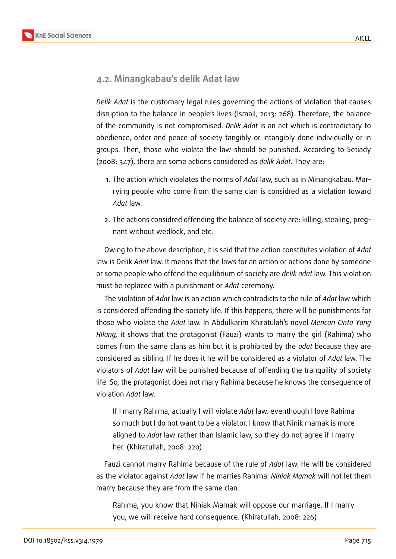

### **4.2. Minangkabau's delik Adat law**

*Delik Adat* is the customary legal rules governing the actions of violation that causes disruption to the balance in people's lives (Ismail, 2013: 268). Therefore, the balance of the community is not compromised. *Delik Adat* is an act which is contradictory to obedience, order and peace of society tangibly or intangibly done individually or in groups. Then, those who violate the law should be punished. According to Setiady (2008: 347), there are some actions considered as *delik Adat*. They are:

- 1. The action which vioalates the norms of *Adat* law, such as in Minangkabau. Marrying people who come from the same clan is considred as a violation toward *Adat* law.
- 2. The actions considred offending the balance of society are: killing, stealing, pregnant without wedlock, and etc.

Owing to the above description, it is said that the action constitutes violation of *Adat* law is Delik *Adat* law. It means that the laws for an action or actions done by someone or some people who offend the equilibrium of society are *delik adat* law. This violation must be replaced with a punishment or *Adat* ceremony.

The violation of *Adat* law is an action which contradicts to the rule of *Adat* law which is considered offending the society life. If this happens, there will be punishments for those who violate the *Adat* law. In Abdulkarim Khiratulah's novel *Mencari Cinta Yang Hilang,* it shows that the protagonist (Fauzi) wants to marry the girl (Rahima) who comes from the same clans as him but it is prohibited by the *adat* because they are considered as sibling. If he does it he will be considered as a violator of *Adat* law. The violators of *Adat* law will be punished because of offending the tranquility of society life. So, the protagonist does not mary Rahima because he knows the consequence of violation *Adat* law.

If I marry Rahima, actually I will violate *Adat* law. eventhough I love Rahima so much but I do not want to be a violator. I know that Ninik mamak is more aligned to *Adat* law rather than Islamic law, so they do not agree if I marry her. (Khiratullah, 2008: 220)

Fauzi cannot marry Rahima because of the rule of *Adat* law. He will be considered as the violator against *Adat* law if he marries Rahima. *Niniak Mamak* will not let them marry because they are from the same clan.

Rahima, you know that Niniak Mamak will oppose our marriage. If I marry you, we will receive hard consequence. (Khiratullah, 2008: 226)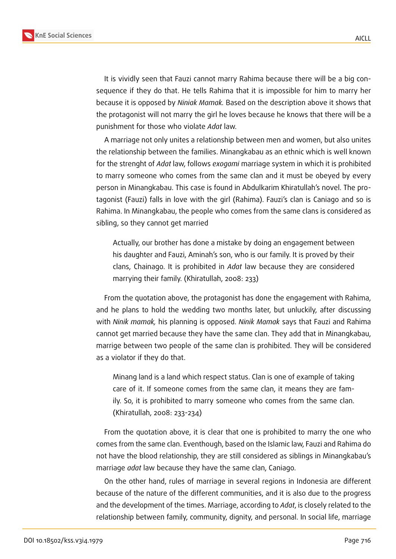

It is vividly seen that Fauzi cannot marry Rahima because there will be a big consequence if they do that. He tells Rahima that it is impossible for him to marry her because it is opposed by *Niniak Mamak.* Based on the description above it shows that the protagonist will not marry the girl he loves because he knows that there will be a punishment for those who violate *Adat* law.

A marriage not only unites a relationship between men and women, but also unites the relationship between the families. Minangkabau as an ethnic which is well known for the strenght of *Adat* law, follows *exogami* marriage system in which it is prohibited to marry someone who comes from the same clan and it must be obeyed by every person in Minangkabau. This case is found in Abdulkarim Khiratullah's novel. The protagonist (Fauzi) falls in love with the girl (Rahima). Fauzi's clan is Caniago and so is Rahima. In Minangkabau, the people who comes from the same clans is considered as sibling, so they cannot get married

Actually, our brother has done a mistake by doing an engagement between his daughter and Fauzi, Aminah's son, who is our family. It is proved by their clans, Chainago. It is prohibited in *Adat* law because they are considered marrying their family. (Khiratullah, 2008: 233)

From the quotation above, the protagonist has done the engagement with Rahima, and he plans to hold the wedding two months later, but unluckily, after discussing with *Ninik mamak,* his planning is opposed. *Ninik Mamak* says that Fauzi and Rahima cannot get married because they have the same clan. They add that in Minangkabau, marrige between two people of the same clan is prohibited. They will be considered as a violator if they do that.

Minang land is a land which respect status. Clan is one of example of taking care of it. If someone comes from the same clan, it means they are family. So, it is prohibited to marry someone who comes from the same clan. (Khiratullah, 2008: 233-234)

From the quotation above, it is clear that one is prohibited to marry the one who comes from the same clan. Eventhough, based on the Islamic law, Fauzi and Rahima do not have the blood relationship, they are still considered as siblings in Minangkabau's marriage *adat* law because they have the same clan, Caniago.

On the other hand, rules of marriage in several regions in Indonesia are different because of the nature of the different communities, and it is also due to the progress and the development of the times. Marriage, according to *Adat*, is closely related to the relationship between family, community, dignity, and personal. In social life, marriage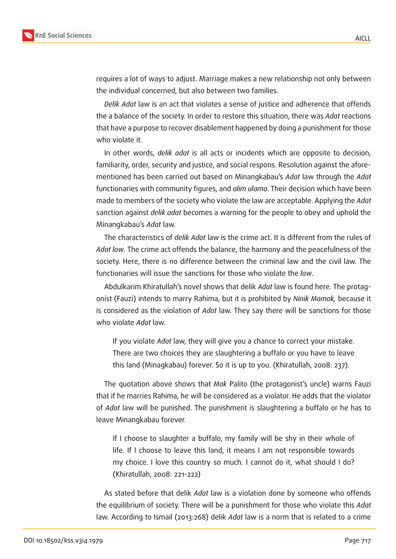

requires a lot of ways to adjust. Marriage makes a new relationship not only between the individual concerned, but also between two families.

*Delik Adat* law is an act that violates a sense of justice and adherence that offends the a balance of the society. In order to restore this situation, there was *Adat* reactions that have a purpose to recover disablement happened by doing a punishment for those who violate it.

In other words, *delik adat* is all acts or incidents which are opposite to decision, familiarity, order, security and justice, and social respons. Resolution against the aforementioned has been carried out based on Minangkabau's *Adat* law through the *Adat* functionaries with community figures, and *alim ulama*. Their decision which have been made to members of the society who violate the law are acceptable. Applying the *Adat* sanction against *delik adat* becomes a warning for the people to obey and uphold the Minangkabau's *Adat* law.

The characteristics of *delik Adat* law is the crime act. It is different from the rules of *Adat law*. The crime act offends the balance, the harmony and the peacefulness of the society. Here, there is no difference between the criminal law and the civil law. The functionaries will issue the sanctions for those who violate the *law*.

Abdulkarim Khiratullah's novel shows that delik *Adat* law is found here. The protagonist (Fauzi) intends to marry Rahima, but it is prohibited by *Ninik Mamak,* because it is considered as the violation of *Adat* law. They say there will be sanctions for those who violate *Adat* law.

If you violate *Adat* law, they will give you a chance to correct your mistake. There are two choices they are slaughtering a buffalo or you have to leave this land (Minagkabau) forever. So it is up to you. (Khiratullah, 2008: 237).

The quotation above shows that *Mak* Palito (the protagonist's uncle) warns Fauzi that if he marries Rahima, he will be considered as a violator. He adds that the violator of *Adat* law will be punished. The punishment is slaughtering a buffalo or he has to leave Minangkabau forever.

If I choose to slaughter a buffalo, my family will be shy in their whole of life. If I choose to leave this land, it means I am not responsible towards my choice. I love this country so much. I cannot do it, what should I do? (Khiratullah, 2008: 221-222)

As stated before that delik *Adat* law is a violation done by someone who offends the equilibrium of society. There will be a punishment for those who violate this *Adat* law. According to Ismail (2013:268) delik *Adat* law is a norm that is related to a crime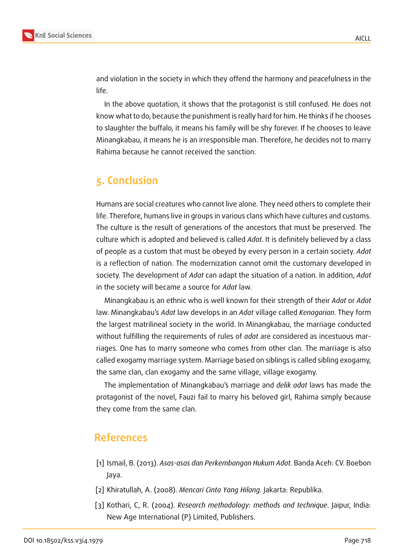

and violation in the society in which they offend the harmony and peacefulness in the life.

In the above quotation, it shows that the protagonist is still confused. He does not know what to do, because the punishment is really hard for him. He thinks if he chooses to slaughter the buffalo, it means his family will be shy forever. If he chooses to leave Minangkabau, it means he is an irresponsible man. Therefore, he decides not to marry Rahima because he cannot received the sanction.

### **5. Conclusion**

Humans are social creatures who cannot live alone. They need others to complete their life. Therefore, humans live in groups in various clans which have cultures and customs. The culture is the result of generations of the ancestors that must be preserved. The culture which is adopted and believed is called *Adat*. It is definitely believed by a class of people as a custom that must be obeyed by every person in a certain society. *Adat* is a reflection of nation. The modernization cannot omit the customary developed in society. The development of *Adat* can adapt the situation of a nation. In addition, *Adat* in the society will became a source for *Adat* law.

Minangkabau is an ethnic who is well known for their strength of their *Adat* or *Adat* law. Minangkabau's *Adat* law develops in an *Adat* village called *Kenagarian*. They form the largest matrilineal society in the world. In Minangkabau, the marriage conducted without fulfilling the requirements of rules of *adat* are considered as incestuous marriages. One has to marry someone who comes from other clan. The marriage is also called exogamy marriage system. Marriage based on siblings is called sibling exogamy, the same clan, clan exogamy and the same village, village exogamy.

The implementation of Minangkabau's marriage and *delik adat* laws has made the protagonist of the novel, Fauzi fail to marry his beloved girl, Rahima simply because they come from the same clan.

### **References**

- [1] Ismail, B. (2013). *Asas-asas dan Perkembangan Hukum Adat.* Banda Aceh: CV. Boebon Jaya.
- [2] Khiratullah, A. (2008). *Mencari Cinta Yang Hilang.* Jakarta: Republika.
- [3] Kothari, C, R. (2004). *Research methodology: methods and technique*. Jaipur, India: New Age International (P) Limited, Publishers.